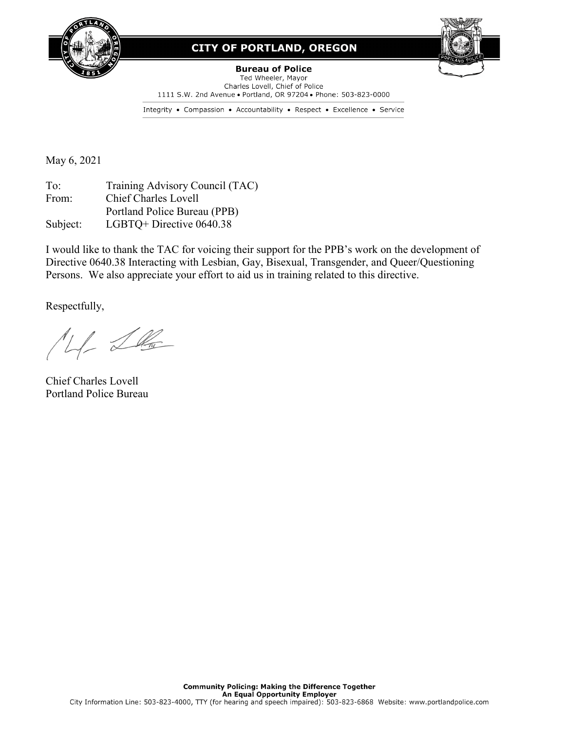

## **CITY OF PORTLAND, OREGON**



**Bureau of Police** Ted Wheeler, Mayor Charles Lovell, Chief of Police 1111 S.W. 2nd Avenue . Portland, OR 97204 . Phone: 503-823-0000

Integrity • Compassion • Accountability • Respect • Excellence • Service

May 6, 2021

To: Training Advisory Council (TAC) From: Chief Charles Lovell Portland Police Bureau (PPB) Subject: LGBTQ+ Directive 0640.38

I would like to thank the TAC for voicing their support for the PPB's work on the development of Directive 0640.38 Interacting with Lesbian, Gay, Bisexual, Transgender, and Queer/Questioning Persons. We also appreciate your effort to aid us in training related to this directive.

Respectfully,

 $11/222$ 

Chief Charles Lovell Portland Police Bureau